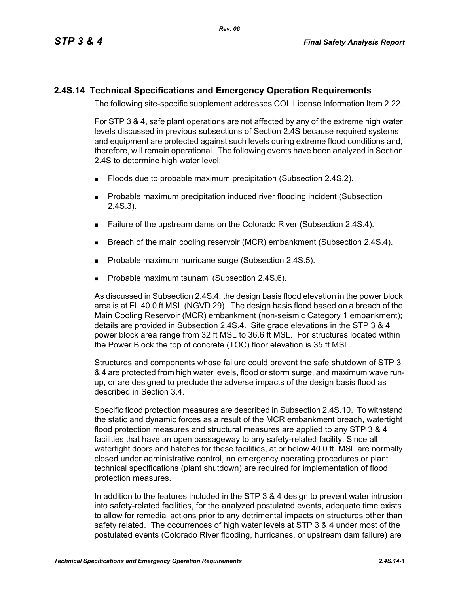## **2.4S.14 Technical Specifications and Emergency Operation Requirements**

The following site-specific supplement addresses COL License Information Item 2.22.

For STP 3 & 4, safe plant operations are not affected by any of the extreme high water levels discussed in previous subsections of Section 2.4S because required systems and equipment are protected against such levels during extreme flood conditions and, therefore, will remain operational. The following events have been analyzed in Section 2.4S to determine high water level:

- **Floods due to probable maximum precipitation (Subsection 2.4S.2).**
- **Probable maximum precipitation induced river flooding incident (Subsection** 2.4S.3).
- Failure of the upstream dams on the Colorado River (Subsection 2.4S.4).
- **Breach of the main cooling reservoir (MCR) embankment (Subsection 2.4S.4).**
- **Probable maximum hurricane surge (Subsection 2.4S.5).**
- Probable maximum tsunami (Subsection 2.4S.6).

As discussed in Subsection 2.4S.4, the design basis flood elevation in the power block area is at El. 40.0 ft MSL (NGVD 29). The design basis flood based on a breach of the Main Cooling Reservoir (MCR) embankment (non-seismic Category 1 embankment); details are provided in Subsection 2.4S.4. Site grade elevations in the STP 3 & 4 power block area range from 32 ft MSL to 36.6 ft MSL. For structures located within the Power Block the top of concrete (TOC) floor elevation is 35 ft MSL.

Structures and components whose failure could prevent the safe shutdown of STP 3 & 4 are protected from high water levels, flood or storm surge, and maximum wave runup, or are designed to preclude the adverse impacts of the design basis flood as described in Section 3.4.

Specific flood protection measures are described in Subsection 2.4S.10. To withstand the static and dynamic forces as a result of the MCR embankment breach, watertight flood protection measures and structural measures are applied to any STP 3 & 4 facilities that have an open passageway to any safety-related facility. Since all watertight doors and hatches for these facilities, at or below 40.0 ft. MSL are normally closed under administrative control, no emergency operating procedures or plant technical specifications (plant shutdown) are required for implementation of flood protection measures.

In addition to the features included in the STP 3 & 4 design to prevent water intrusion into safety-related facilities, for the analyzed postulated events, adequate time exists to allow for remedial actions prior to any detrimental impacts on structures other than safety related. The occurrences of high water levels at STP 3 & 4 under most of the postulated events (Colorado River flooding, hurricanes, or upstream dam failure) are